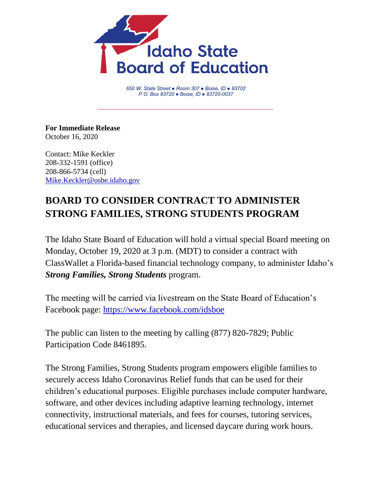

*650 W. State Street ● Room 307 ● Boise, ID ● 83702 P.O. Box 83720 ● Boise, ID ● 83720-0037*

**For Immediate Release** October 16, 2020

Contact: Mike Keckler 208-332-1591 (office) 208-866-5734 (cell) [Mike.Keckler@osbe.idaho.gov](mailto:Mike.Keckler@osbe.idaho.gov)

## **BOARD TO CONSIDER CONTRACT TO ADMINISTER STRONG FAMILIES, STRONG STUDENTS PROGRAM**

The Idaho State Board of Education will hold a virtual special Board meeting on Monday, October 19, 2020 at 3 p.m. (MDT) to consider a contract with ClassWallet a Florida-based financial technology company, to administer Idaho's *Strong Families, Strong Students* program.

The meeting will be carried via livestream on the State Board of Education's Facebook page: [https://www.facebook.com/idsboe](https://www.facebook.com/idsboe/)

The public can listen to the meeting by calling (877) 820-7829; Public Participation Code 8461895.

The Strong Families, Strong Students program empowers eligible families to securely access Idaho Coronavirus Relief funds that can be used for their children's educational purposes. Eligible purchases include computer hardware, software, and other devices including adaptive learning technology, internet connectivity, instructional materials, and fees for courses, tutoring services, educational services and therapies, and licensed daycare during work hours.